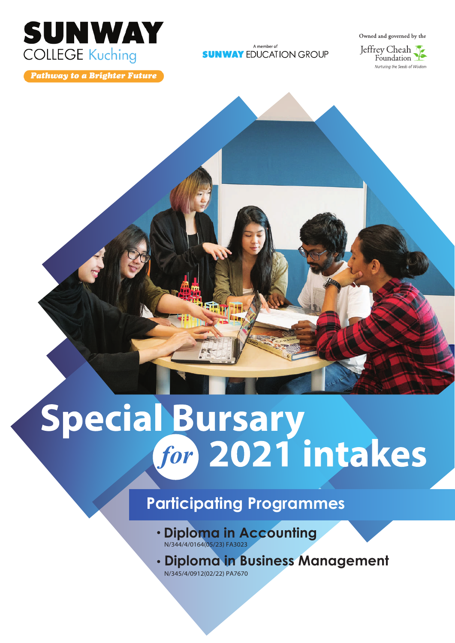

**Pathway to a Brighter Future** 

A member of **SUNWAY EDUCATION GROUP** 



# Special Bursary<br>for 2021 intakes

# **Participating Programmes**

- **Diploma in Accounting** N/344/4/0164(05/23) FA3023
- **Diploma in Business Management**

N/345/4/0912(02/22) PA7670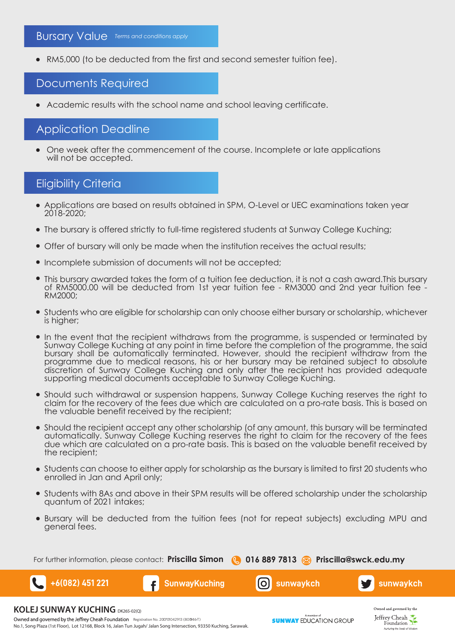RM5,000 (to be deducted from the first and second semester tuition fee).

# Documents Required

Academic results with the school name and school leaving certificate.

# Application Deadline

One week after the commencement of the course. Incomplete or late applications will not be accepted.

# Eligibility Criteria

- Applications are based on results obtained in SPM, O-Level or UEC examinations taken year 2018-2020;
- The bursary is offered strictly to full-time registered students at Sunway College Kuching;
- Offer of bursary will only be made when the institution receives the actual results;
- Incomplete submission of documents will not be accepted;
- This bursary awarded takes the form of a tuition fee deduction, it is not a cash award.This bursary of RM5000.00 will be deducted from 1st year tuition fee - RM3000 and 2nd year tuition fee -RM2000;
- Students who are eligible for scholarship can only choose either bursary or scholarship, whichever is higher;
- In the event that the recipient withdraws from the programme, is suspended or terminated by Sunway College Kuching at any point in time before the completion of the programme, the said bursary shall be automatically terminated. However, should the recipient withdraw from the programme due to medical reasons, his or her bursary may be retained subject to absolute discretion of Sunway College Kuching and only after the recipient has provided adequate supporting medical documents acceptable to Sunway College Kuching.
- Should such withdrawal or suspension happens, Sunway College Kuching reserves the right to claim for the recovery of the fees due which are calculated on a pro-rate basis. This is based on the valuable benefit received by the recipient;
- Should the recipient accept any other scholarship (of any amount, this bursary will be terminated automatically. Sunway College Kuching reserves the right to claim for the recovery of the fees due which are calculated on a pro-rate basis. This is based on the valuable benefit received by the recipient;
- Students can choose to either apply for scholarship as the bursary is limited to first 20 students who enrolled in Jan and April only;
- Students with 8As and above in their SPM results will be offered scholarship under the scholarship quantum of 2021 intakes;
- Bursary will be deducted from the tuition fees (not for repeat subjects) excluding MPU and general fees.

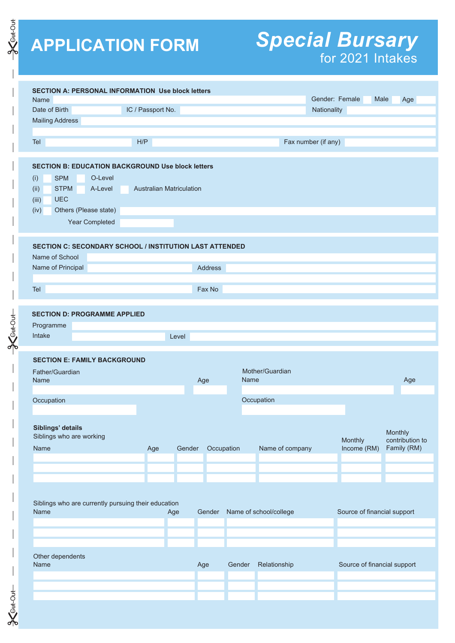**SKGHHOUT** 

#O#B>个 丨 丨 丨 丨 丨 丨 丨 丨 丨 丨 丨 丨 丨 丨 丨 丨 H

 $-86404 -$ 

 $-3<sub>6tt-04t</sub>$ 

# **APPLICATION FORM** *Special Bursary* for 2021 Intakes

| Name<br>Date of Birth<br><b>Mailing Address</b><br>Tel<br><b>SECTION B: EDUCATION BACKGROUND Use block letters</b><br>O-Level<br>(i)<br><b>SPM</b><br><b>STPM</b><br>(ii)<br>A-Level<br><b>UEC</b><br>(iii)<br>(iv)<br>Others (Please state)<br><b>Year Completed</b><br><b>SECTION C: SECONDARY SCHOOL / INSTITUTION LAST ATTENDED</b><br>Name of School<br>Name of Principal<br>Tel<br><b>SECTION D: PROGRAMME APPLIED</b><br>Programme<br>Intake<br><b>SECTION E: FAMILY BACKGROUND</b><br>Father/Guardian<br><b>Name</b><br>Occupation<br>Siblings' details<br>Siblings who are working | IC / Passport No.<br>H/P<br><b>Australian Matriculation</b> | Level |        | <b>Address</b><br>Fax No |        |                        | Gender: Female<br>Nationality<br>Fax number (if any) |                             | Male<br>Age                |
|---------------------------------------------------------------------------------------------------------------------------------------------------------------------------------------------------------------------------------------------------------------------------------------------------------------------------------------------------------------------------------------------------------------------------------------------------------------------------------------------------------------------------------------------------------------------------------------------|-------------------------------------------------------------|-------|--------|--------------------------|--------|------------------------|------------------------------------------------------|-----------------------------|----------------------------|
|                                                                                                                                                                                                                                                                                                                                                                                                                                                                                                                                                                                             |                                                             |       |        |                          |        |                        |                                                      |                             |                            |
|                                                                                                                                                                                                                                                                                                                                                                                                                                                                                                                                                                                             |                                                             |       |        |                          |        |                        |                                                      |                             |                            |
|                                                                                                                                                                                                                                                                                                                                                                                                                                                                                                                                                                                             |                                                             |       |        |                          |        |                        |                                                      |                             |                            |
|                                                                                                                                                                                                                                                                                                                                                                                                                                                                                                                                                                                             |                                                             |       |        |                          |        |                        |                                                      |                             |                            |
|                                                                                                                                                                                                                                                                                                                                                                                                                                                                                                                                                                                             |                                                             |       |        |                          |        |                        |                                                      |                             |                            |
|                                                                                                                                                                                                                                                                                                                                                                                                                                                                                                                                                                                             |                                                             |       |        |                          |        |                        |                                                      |                             |                            |
|                                                                                                                                                                                                                                                                                                                                                                                                                                                                                                                                                                                             |                                                             |       |        |                          |        |                        |                                                      |                             |                            |
|                                                                                                                                                                                                                                                                                                                                                                                                                                                                                                                                                                                             |                                                             |       |        |                          |        |                        |                                                      |                             |                            |
|                                                                                                                                                                                                                                                                                                                                                                                                                                                                                                                                                                                             |                                                             |       |        |                          |        |                        |                                                      |                             |                            |
|                                                                                                                                                                                                                                                                                                                                                                                                                                                                                                                                                                                             |                                                             |       |        |                          |        |                        |                                                      |                             |                            |
|                                                                                                                                                                                                                                                                                                                                                                                                                                                                                                                                                                                             |                                                             |       |        |                          |        |                        |                                                      |                             |                            |
|                                                                                                                                                                                                                                                                                                                                                                                                                                                                                                                                                                                             |                                                             |       |        |                          |        |                        |                                                      |                             |                            |
|                                                                                                                                                                                                                                                                                                                                                                                                                                                                                                                                                                                             |                                                             |       |        |                          |        |                        |                                                      |                             |                            |
|                                                                                                                                                                                                                                                                                                                                                                                                                                                                                                                                                                                             |                                                             |       |        |                          |        |                        |                                                      |                             |                            |
|                                                                                                                                                                                                                                                                                                                                                                                                                                                                                                                                                                                             |                                                             |       |        |                          |        |                        |                                                      |                             |                            |
|                                                                                                                                                                                                                                                                                                                                                                                                                                                                                                                                                                                             |                                                             |       |        |                          |        |                        |                                                      |                             |                            |
|                                                                                                                                                                                                                                                                                                                                                                                                                                                                                                                                                                                             |                                                             |       |        |                          |        |                        |                                                      |                             |                            |
|                                                                                                                                                                                                                                                                                                                                                                                                                                                                                                                                                                                             |                                                             |       |        |                          |        |                        |                                                      |                             |                            |
|                                                                                                                                                                                                                                                                                                                                                                                                                                                                                                                                                                                             |                                                             |       |        |                          |        |                        |                                                      |                             |                            |
|                                                                                                                                                                                                                                                                                                                                                                                                                                                                                                                                                                                             |                                                             |       |        |                          |        |                        |                                                      |                             |                            |
|                                                                                                                                                                                                                                                                                                                                                                                                                                                                                                                                                                                             |                                                             |       |        |                          |        |                        |                                                      |                             |                            |
|                                                                                                                                                                                                                                                                                                                                                                                                                                                                                                                                                                                             |                                                             |       |        |                          |        |                        |                                                      |                             |                            |
|                                                                                                                                                                                                                                                                                                                                                                                                                                                                                                                                                                                             |                                                             |       |        |                          |        |                        |                                                      |                             |                            |
|                                                                                                                                                                                                                                                                                                                                                                                                                                                                                                                                                                                             |                                                             |       |        |                          |        |                        |                                                      |                             |                            |
|                                                                                                                                                                                                                                                                                                                                                                                                                                                                                                                                                                                             |                                                             |       |        |                          |        |                        |                                                      |                             |                            |
|                                                                                                                                                                                                                                                                                                                                                                                                                                                                                                                                                                                             |                                                             |       |        |                          |        |                        |                                                      |                             |                            |
|                                                                                                                                                                                                                                                                                                                                                                                                                                                                                                                                                                                             |                                                             |       |        |                          |        | Mother/Guardian        |                                                      |                             |                            |
|                                                                                                                                                                                                                                                                                                                                                                                                                                                                                                                                                                                             |                                                             |       |        | Age                      | Name   |                        |                                                      |                             | Age                        |
|                                                                                                                                                                                                                                                                                                                                                                                                                                                                                                                                                                                             |                                                             |       |        |                          |        |                        |                                                      |                             |                            |
|                                                                                                                                                                                                                                                                                                                                                                                                                                                                                                                                                                                             |                                                             |       |        |                          |        | Occupation             |                                                      |                             |                            |
|                                                                                                                                                                                                                                                                                                                                                                                                                                                                                                                                                                                             |                                                             |       |        |                          |        |                        |                                                      |                             |                            |
|                                                                                                                                                                                                                                                                                                                                                                                                                                                                                                                                                                                             |                                                             |       |        |                          |        |                        |                                                      |                             |                            |
|                                                                                                                                                                                                                                                                                                                                                                                                                                                                                                                                                                                             |                                                             |       |        |                          |        |                        |                                                      | Monthly                     | Monthly<br>contribution to |
| Name                                                                                                                                                                                                                                                                                                                                                                                                                                                                                                                                                                                        | Age                                                         |       | Gender | Occupation               |        | Name of company        |                                                      | Income (RM)                 | Family (RM)                |
|                                                                                                                                                                                                                                                                                                                                                                                                                                                                                                                                                                                             |                                                             |       |        |                          |        |                        |                                                      |                             |                            |
|                                                                                                                                                                                                                                                                                                                                                                                                                                                                                                                                                                                             |                                                             |       |        |                          |        |                        |                                                      |                             |                            |
|                                                                                                                                                                                                                                                                                                                                                                                                                                                                                                                                                                                             |                                                             |       |        |                          |        |                        |                                                      |                             |                            |
|                                                                                                                                                                                                                                                                                                                                                                                                                                                                                                                                                                                             |                                                             |       |        |                          |        |                        |                                                      |                             |                            |
|                                                                                                                                                                                                                                                                                                                                                                                                                                                                                                                                                                                             |                                                             |       |        |                          |        |                        |                                                      |                             |                            |
| Siblings who are currently pursuing their education<br>Name                                                                                                                                                                                                                                                                                                                                                                                                                                                                                                                                 |                                                             | Age   |        | Gender                   |        | Name of school/college |                                                      | Source of financial support |                            |
|                                                                                                                                                                                                                                                                                                                                                                                                                                                                                                                                                                                             |                                                             |       |        |                          |        |                        |                                                      |                             |                            |
|                                                                                                                                                                                                                                                                                                                                                                                                                                                                                                                                                                                             |                                                             |       |        |                          |        |                        |                                                      |                             |                            |
|                                                                                                                                                                                                                                                                                                                                                                                                                                                                                                                                                                                             |                                                             |       |        |                          |        |                        |                                                      |                             |                            |
|                                                                                                                                                                                                                                                                                                                                                                                                                                                                                                                                                                                             |                                                             |       |        |                          |        |                        |                                                      |                             |                            |
| Other dependents                                                                                                                                                                                                                                                                                                                                                                                                                                                                                                                                                                            |                                                             |       |        |                          |        |                        |                                                      |                             |                            |
| Name                                                                                                                                                                                                                                                                                                                                                                                                                                                                                                                                                                                        |                                                             |       |        | Age                      | Gender | Relationship           |                                                      | Source of financial support |                            |
|                                                                                                                                                                                                                                                                                                                                                                                                                                                                                                                                                                                             |                                                             |       |        |                          |        |                        |                                                      |                             |                            |
|                                                                                                                                                                                                                                                                                                                                                                                                                                                                                                                                                                                             |                                                             |       |        |                          |        |                        |                                                      |                             |                            |
|                                                                                                                                                                                                                                                                                                                                                                                                                                                                                                                                                                                             |                                                             |       |        |                          |        |                        |                                                      |                             |                            |
|                                                                                                                                                                                                                                                                                                                                                                                                                                                                                                                                                                                             |                                                             |       |        |                          |        |                        |                                                      |                             |                            |